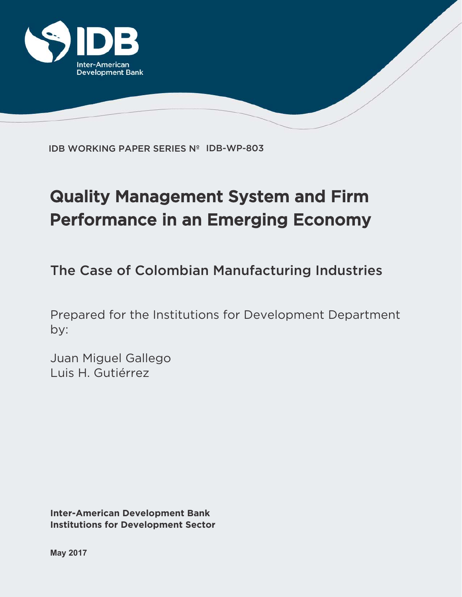

IDB WORKING PAPER SERIES Nº IDB-WP-803

# Quality Management System and Firm Performance in an Emerging Economy

The Case of Colombian Manufacturing Industries

Prepared for the Institutions for Development Department by:

Juan Miguel Gallego Luis H. Gutiérrez

**Inter-American Development Bank Institutions for Development Sector**

**May 2017**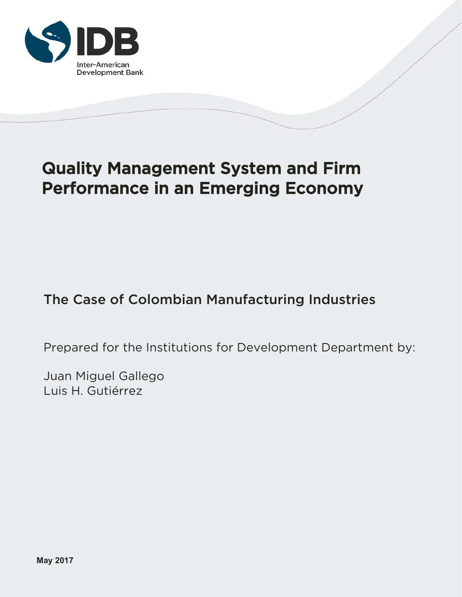

## Quality Management System and Firm Performance in an Emerging Economy

## The Case of Colombian Manufacturing Industries

Prepared for the Institutions for Development Department by:

Juan Miguel Gallego Luis H. Gutiérrez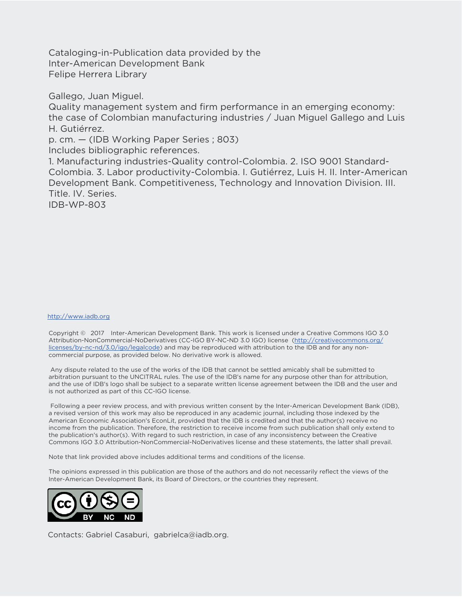Cataloging-in-Publication data provided by the Inter-American Development Bank Felipe Herrera Library

Gallego, Juan Miguel.

Quality management system and firm performance in an emerging economy: the case of Colombian manufacturing industries / Juan Miguel Gallego and Luis H. Gutiérrez.

p. cm. — (IDB Working Paper Series ; 803)

Includes bibliographic references.

1. Manufacturing industries-Quality control-Colombia. 2. ISO 9001 Standard-Colombia. 3. Labor productivity-Colombia. I. Gutiérrez, Luis H. II. Inter-American Development Bank. Competitiveness, Technology and Innovation Division. III. Title. IV. Series.

IDB-WP-803

#### http://www.iadb.org

Copyright © 2017 Inter-American Development Bank. This work is licensed under a Creative Commons IGO 3.0 Attribution-NonCommercial-NoDerivatives (CC-IGO BY-NC-ND 3.0 IGO) license (http://creativecommons.org/ licenses/by-nc-nd/3.0/igo/legalcode) and may be reproduced with attribution to the IDB and for any noncommercial purpose, as provided below. No derivative work is allowed.

 Any dispute related to the use of the works of the IDB that cannot be settled amicably shall be submitted to arbitration pursuant to the UNCITRAL rules. The use of the IDB's name for any purpose other than for attribution, and the use of IDB's logo shall be subject to a separate written license agreement between the IDB and the user and is not authorized as part of this CC-IGO license.

 Following a peer review process, and with previous written consent by the Inter-American Development Bank (IDB), a revised version of this work may also be reproduced in any academic journal, including those indexed by the American Economic Association's EconLit, provided that the IDB is credited and that the author(s) receive no income from the publication. Therefore, the restriction to receive income from such publication shall only extend to the publication's author(s). With regard to such restriction, in case of any inconsistency between the Creative Commons IGO 3.0 Attribution-NonCommercial-NoDerivatives license and these statements, the latter shall prevail.

Note that link provided above includes additional terms and conditions of the license.

The opinions expressed in this publication are those of the authors and do not necessarily reflect the views of the Inter-American Development Bank, its Board of Directors, or the countries they represent.



Contacts: Gabriel Casaburi, gabrielca@iadb.org.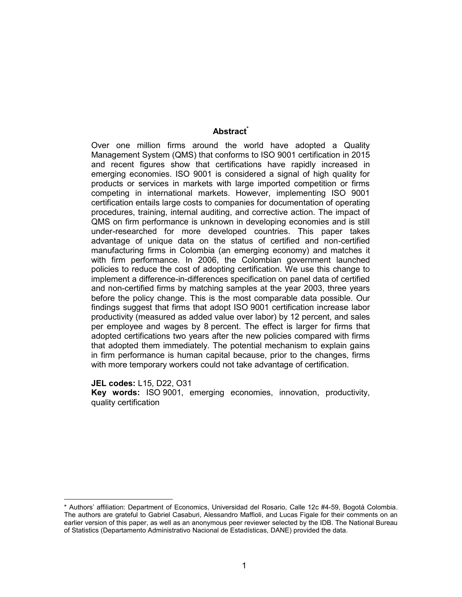#### **Abstract\***

Over one million firms around the world have adopted a Quality Management System (QMS) that conforms to ISO 9001 certification in 2015 and recent figures show that certifications have rapidly increased in emerging economies. ISO 9001 is considered a signal of high quality for products or services in markets with large imported competition or firms competing in international markets. However, implementing ISO 9001 certification entails large costs to companies for documentation of operating procedures, training, internal auditing, and corrective action. The impact of QMS on firm performance is unknown in developing economies and is still under-researched for more developed countries. This paper takes advantage of unique data on the status of certified and non-certified manufacturing firms in Colombia (an emerging economy) and matches it with firm performance. In 2006, the Colombian government launched policies to reduce the cost of adopting certification. We use this change to implement a difference-in-differences specification on panel data of certified and non-certified firms by matching samples at the year 2003, three years before the policy change. This is the most comparable data possible. Our findings suggest that firms that adopt ISO 9001 certification increase labor productivity (measured as added value over labor) by 12 percent, and sales per employee and wages by 8 percent. The effect is larger for firms that adopted certifications two years after the new policies compared with firms that adopted them immediately. The potential mechanism to explain gains in firm performance is human capital because, prior to the changes, firms with more temporary workers could not take advantage of certification.

**JEL codes:** L15, D22, O31

**Key words:** ISO 9001, emerging economies, innovation, productivity, quality certification

<sup>\*</sup> Authors' affiliation: Department of Economics, Universidad del Rosario, Calle 12c #4-59, Bogotá Colombia. The authors are grateful to Gabriel Casaburi, Alessandro Maffioli, and Lucas Figale for their comments on an earlier version of this paper, as well as an anonymous peer reviewer selected by the IDB. The National Bureau of Statistics (Departamento Administrativo Nacional de Estadísticas, DANE) provided the data.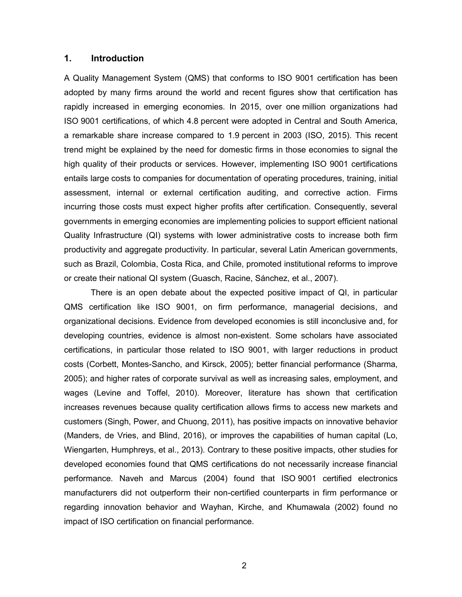#### **1. Introduction**

A Quality Management System (QMS) that conforms to ISO 9001 certification has been adopted by many firms around the world and recent figures show that certification has rapidly increased in emerging economies. In 2015, over one million organizations had ISO 9001 certifications, of which 4.8 percent were adopted in Central and South America, a remarkable share increase compared to 1.9 percent in 2003 (ISO, 2015). This recent trend might be explained by the need for domestic firms in those economies to signal the high quality of their products or services. However, implementing ISO 9001 certifications entails large costs to companies for documentation of operating procedures, training, initial assessment, internal or external certification auditing, and corrective action. Firms incurring those costs must expect higher profits after certification. Consequently, several governments in emerging economies are implementing policies to support efficient national Quality Infrastructure (QI) systems with lower administrative costs to increase both firm productivity and aggregate productivity. In particular, several Latin American governments, such as Brazil, Colombia, Costa Rica, and Chile, promoted institutional reforms to improve or create their national QI system (Guasch, Racine, Sánchez, et al., 2007).

There is an open debate about the expected positive impact of QI, in particular QMS certification like ISO 9001, on firm performance, managerial decisions, and organizational decisions. Evidence from developed economies is still inconclusive and, for developing countries, evidence is almost non-existent. Some scholars have associated certifications, in particular those related to ISO 9001, with larger reductions in product costs (Corbett, Montes-Sancho, and Kirsck, 2005); better financial performance (Sharma, 2005); and higher rates of corporate survival as well as increasing sales, employment, and wages (Levine and Toffel, 2010). Moreover, literature has shown that certification increases revenues because quality certification allows firms to access new markets and customers (Singh, Power, and Chuong, 2011), has positive impacts on innovative behavior (Manders, de Vries, and Blind, 2016), or improves the capabilities of human capital (Lo, Wiengarten, Humphreys, et al., 2013). Contrary to these positive impacts, other studies for developed economies found that QMS certifications do not necessarily increase financial performance. Naveh and Marcus (2004) found that ISO 9001 certified electronics manufacturers did not outperform their non-certified counterparts in firm performance or regarding innovation behavior and Wayhan, Kirche, and Khumawala (2002) found no impact of ISO certification on financial performance.

2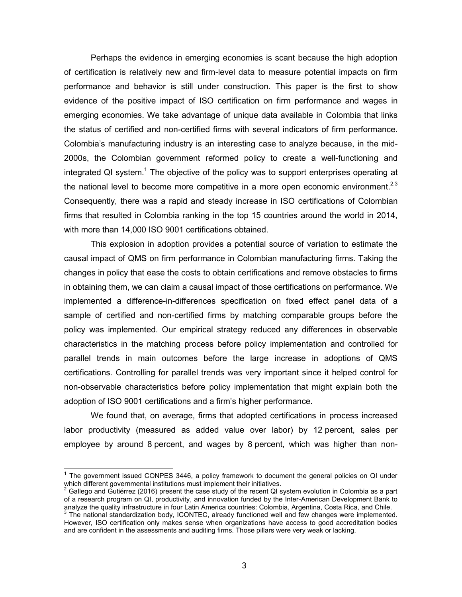Perhaps the evidence in emerging economies is scant because the high adoption of certification is relatively new and firm-level data to measure potential impacts on firm performance and behavior is still under construction. This paper is the first to show evidence of the positive impact of ISO certification on firm performance and wages in emerging economies. We take advantage of unique data available in Colombia that links the status of certified and non-certified firms with several indicators of firm performance. Colombia's manufacturing industry is an interesting case to analyze because, in the mid-2000s, the Colombian government reformed policy to create a well-functioning and integrated QI system.<sup>1</sup> The objective of the policy was to support enterprises operating at the national level to become more competitive in a more open economic environment.<sup>2,3</sup> Consequently, there was a rapid and steady increase in ISO certifications of Colombian firms that resulted in Colombia ranking in the top 15 countries around the world in 2014, with more than 14,000 ISO 9001 certifications obtained.

This explosion in adoption provides a potential source of variation to estimate the causal impact of QMS on firm performance in Colombian manufacturing firms. Taking the changes in policy that ease the costs to obtain certifications and remove obstacles to firms in obtaining them, we can claim a causal impact of those certifications on performance. We implemented a difference-in-differences specification on fixed effect panel data of a sample of certified and non-certified firms by matching comparable groups before the policy was implemented. Our empirical strategy reduced any differences in observable characteristics in the matching process before policy implementation and controlled for parallel trends in main outcomes before the large increase in adoptions of QMS certifications. Controlling for parallel trends was very important since it helped control for non-observable characteristics before policy implementation that might explain both the adoption of ISO 9001 certifications and a firm's higher performance.

We found that, on average, firms that adopted certifications in process increased labor productivity (measured as added value over labor) by 12 percent, sales per employee by around 8 percent, and wages by 8 percent, which was higher than non-

 $\overline{a}$ 

 $1$  The government issued CONPES 3446, a policy framework to document the general policies on QI under which different governmental institutions must implement their initiatives.<br><sup>2</sup> Cellege and Cutierraz (2016) present the sase study of the resent OLS

Gallego and Gutiérrez (2016) present the case study of the recent QI system evolution in Colombia as a part of a research program on QI, productivity, and innovation funded by the Inter-American Development Bank to analyze the quality infrastructure in four Latin America countries: Colombia, Argentina, Costa Rica, and Chile.

 $3$  The national standardization body, ICONTEC, already functioned well and few changes were implemented. However, ISO certification only makes sense when organizations have access to good accreditation bodies and are confident in the assessments and auditing firms. Those pillars were very weak or lacking.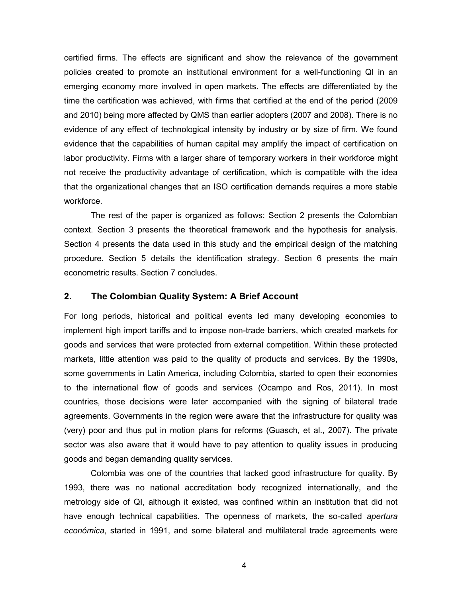certified firms. The effects are significant and show the relevance of the government policies created to promote an institutional environment for a well-functioning QI in an emerging economy more involved in open markets. The effects are differentiated by the time the certification was achieved, with firms that certified at the end of the period (2009 and 2010) being more affected by QMS than earlier adopters (2007 and 2008). There is no evidence of any effect of technological intensity by industry or by size of firm. We found evidence that the capabilities of human capital may amplify the impact of certification on labor productivity. Firms with a larger share of temporary workers in their workforce might not receive the productivity advantage of certification, which is compatible with the idea that the organizational changes that an ISO certification demands requires a more stable workforce.

The rest of the paper is organized as follows: Section 2 presents the Colombian context. Section 3 presents the theoretical framework and the hypothesis for analysis. Section 4 presents the data used in this study and the empirical design of the matching procedure. Section 5 details the identification strategy. Section 6 presents the main econometric results. Section 7 concludes.

#### **2. The Colombian Quality System: A Brief Account**

For long periods, historical and political events led many developing economies to implement high import tariffs and to impose non-trade barriers, which created markets for goods and services that were protected from external competition. Within these protected markets, little attention was paid to the quality of products and services. By the 1990s, some governments in Latin America, including Colombia, started to open their economies to the international flow of goods and services (Ocampo and Ros, 2011). In most countries, those decisions were later accompanied with the signing of bilateral trade agreements. Governments in the region were aware that the infrastructure for quality was (very) poor and thus put in motion plans for reforms (Guasch, et al., 2007). The private sector was also aware that it would have to pay attention to quality issues in producing goods and began demanding quality services.

Colombia was one of the countries that lacked good infrastructure for quality. By 1993, there was no national accreditation body recognized internationally, and the metrology side of QI, although it existed, was confined within an institution that did not have enough technical capabilities. The openness of markets, the so-called *apertura económica*, started in 1991, and some bilateral and multilateral trade agreements were

4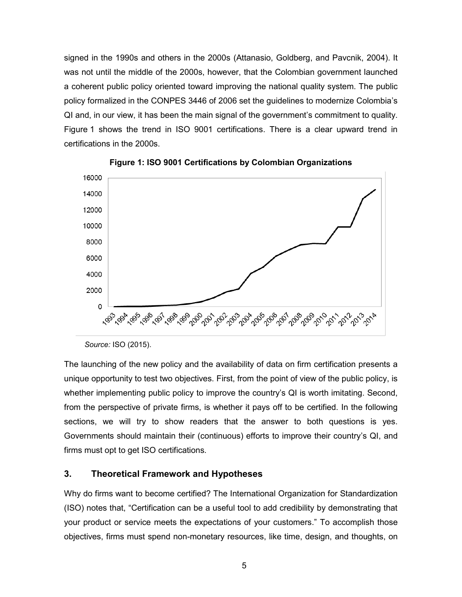signed in the 1990s and others in the 2000s (Attanasio, Goldberg, and Pavcnik, 2004). It was not until the middle of the 2000s, however, that the Colombian government launched a coherent public policy oriented toward improving the national quality system. The public policy formalized in the CONPES 3446 of 2006 set the guidelines to modernize Colombia's QI and, in our view, it has been the main signal of the government's commitment to quality. Figure 1 shows the trend in ISO 9001 certifications. There is a clear upward trend in certifications in the 2000s.





*Source:* ISO (2015).

The launching of the new policy and the availability of data on firm certification presents a unique opportunity to test two objectives. First, from the point of view of the public policy, is whether implementing public policy to improve the country's QI is worth imitating. Second, from the perspective of private firms, is whether it pays off to be certified. In the following sections, we will try to show readers that the answer to both questions is yes. Governments should maintain their (continuous) efforts to improve their country's QI, and firms must opt to get ISO certifications.

#### **3. Theoretical Framework and Hypotheses**

Why do firms want to become certified? The International Organization for Standardization (ISO) notes that, "Certification can be a useful tool to add credibility by demonstrating that your product or service meets the expectations of your customers." To accomplish those objectives, firms must spend non-monetary resources, like time, design, and thoughts, on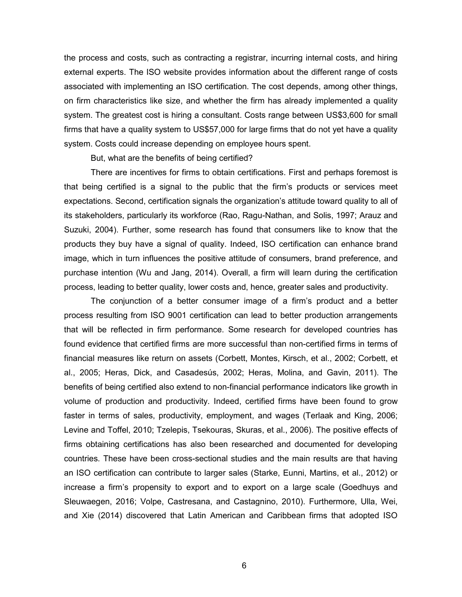the process and costs, such as contracting a registrar, incurring internal costs, and hiring external experts. The ISO website provides information about the different range of costs associated with implementing an ISO certification. The cost depends, among other things, on firm characteristics like size, and whether the firm has already implemented a quality system. The greatest cost is hiring a consultant. Costs range between US\$3,600 for small firms that have a quality system to US\$57,000 for large firms that do not yet have a quality system. Costs could increase depending on employee hours spent.

But, what are the benefits of being certified?

There are incentives for firms to obtain certifications. First and perhaps foremost is that being certified is a signal to the public that the firm's products or services meet expectations. Second, certification signals the organization's attitude toward quality to all of its stakeholders, particularly its workforce (Rao, Ragu-Nathan, and Solis, 1997; Arauz and Suzuki, 2004). Further, some research has found that consumers like to know that the products they buy have a signal of quality. Indeed, ISO certification can enhance brand image, which in turn influences the positive attitude of consumers, brand preference, and purchase intention (Wu and Jang, 2014). Overall, a firm will learn during the certification process, leading to better quality, lower costs and, hence, greater sales and productivity.

The conjunction of a better consumer image of a firm's product and a better process resulting from ISO 9001 certification can lead to better production arrangements that will be reflected in firm performance. Some research for developed countries has found evidence that certified firms are more successful than non-certified firms in terms of financial measures like return on assets (Corbett, Montes, Kirsch, et al., 2002; Corbett, et al., 2005; Heras, Dick, and Casadesús, 2002; Heras, Molina, and Gavin, 2011). The benefits of being certified also extend to non-financial performance indicators like growth in volume of production and productivity. Indeed, certified firms have been found to grow faster in terms of sales, productivity, employment, and wages (Terlaak and King, 2006; Levine and Toffel, 2010; Tzelepis, Tsekouras, Skuras, et al., 2006). The positive effects of firms obtaining certifications has also been researched and documented for developing countries. These have been cross-sectional studies and the main results are that having an ISO certification can contribute to larger sales (Starke, Eunni, Martins, et al., 2012) or increase a firm's propensity to export and to export on a large scale (Goedhuys and Sleuwaegen, 2016; Volpe, Castresana, and Castagnino, 2010). Furthermore, Ulla, Wei, and Xie (2014) discovered that Latin American and Caribbean firms that adopted ISO

6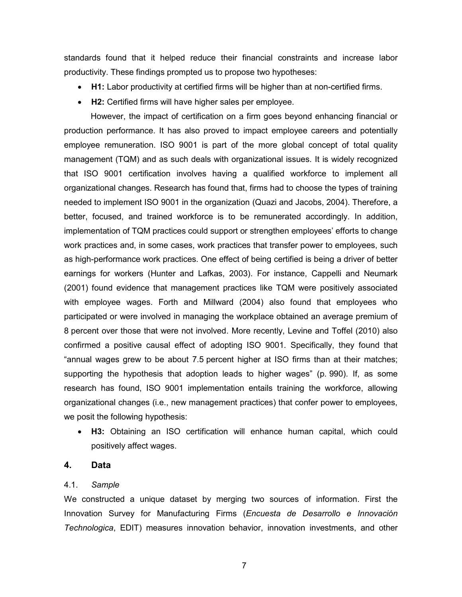standards found that it helped reduce their financial constraints and increase labor productivity. These findings prompted us to propose two hypotheses:

- **H1:** Labor productivity at certified firms will be higher than at non-certified firms.
- **H2:** Certified firms will have higher sales per employee.

However, the impact of certification on a firm goes beyond enhancing financial or production performance. It has also proved to impact employee careers and potentially employee remuneration. ISO 9001 is part of the more global concept of total quality management (TQM) and as such deals with organizational issues. It is widely recognized that ISO 9001 certification involves having a qualified workforce to implement all organizational changes. Research has found that, firms had to choose the types of training needed to implement ISO 9001 in the organization (Quazi and Jacobs, 2004). Therefore, a better, focused, and trained workforce is to be remunerated accordingly. In addition, implementation of TQM practices could support or strengthen employees' efforts to change work practices and, in some cases, work practices that transfer power to employees, such as high-performance work practices. One effect of being certified is being a driver of better earnings for workers (Hunter and Lafkas, 2003). For instance, Cappelli and Neumark (2001) found evidence that management practices like TQM were positively associated with employee wages. Forth and Millward (2004) also found that employees who participated or were involved in managing the workplace obtained an average premium of 8 percent over those that were not involved. More recently, Levine and Toffel (2010) also confirmed a positive causal effect of adopting ISO 9001. Specifically, they found that "annual wages grew to be about 7.5 percent higher at ISO firms than at their matches; supporting the hypothesis that adoption leads to higher wages" (p. 990). If, as some research has found, ISO 9001 implementation entails training the workforce, allowing organizational changes (i.e., new management practices) that confer power to employees, we posit the following hypothesis:

 **H3:** Obtaining an ISO certification will enhance human capital, which could positively affect wages.

#### **4. Data**

#### 4.1. *Sample*

We constructed a unique dataset by merging two sources of information. First the Innovation Survey for Manufacturing Firms (*Encuesta de Desarrollo e Innovación Technologica*, EDIT) measures innovation behavior, innovation investments, and other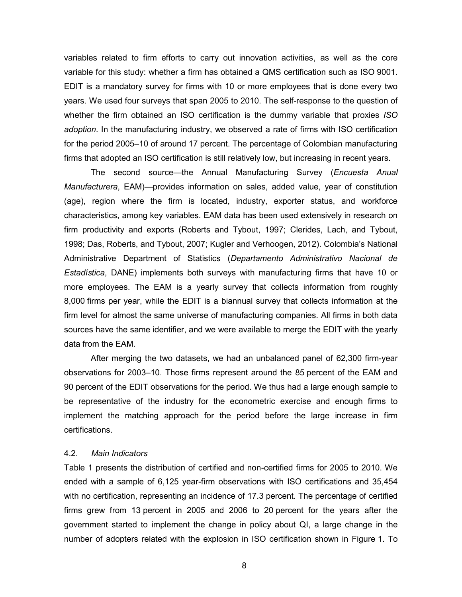variables related to firm efforts to carry out innovation activities, as well as the core variable for this study: whether a firm has obtained a QMS certification such as ISO 9001. EDIT is a mandatory survey for firms with 10 or more employees that is done every two years. We used four surveys that span 2005 to 2010. The self-response to the question of whether the firm obtained an ISO certification is the dummy variable that proxies *ISO adoption*. In the manufacturing industry, we observed a rate of firms with ISO certification for the period 2005–10 of around 17 percent. The percentage of Colombian manufacturing firms that adopted an ISO certification is still relatively low, but increasing in recent years.

The second source—the Annual Manufacturing Survey (*Encuesta Anual Manufacturera*, EAM)—provides information on sales, added value, year of constitution (age), region where the firm is located, industry, exporter status, and workforce characteristics, among key variables. EAM data has been used extensively in research on firm productivity and exports (Roberts and Tybout, 1997; Clerides, Lach, and Tybout, 1998; Das, Roberts, and Tybout, 2007; Kugler and Verhoogen, 2012). Colombia's National Administrative Department of Statistics (*Departamento Administrativo Nacional de Estadística*, DANE) implements both surveys with manufacturing firms that have 10 or more employees. The EAM is a yearly survey that collects information from roughly 8,000 firms per year, while the EDIT is a biannual survey that collects information at the firm level for almost the same universe of manufacturing companies. All firms in both data sources have the same identifier, and we were available to merge the EDIT with the yearly data from the EAM.

After merging the two datasets, we had an unbalanced panel of 62,300 firm-year observations for 2003–10. Those firms represent around the 85 percent of the EAM and 90 percent of the EDIT observations for the period. We thus had a large enough sample to be representative of the industry for the econometric exercise and enough firms to implement the matching approach for the period before the large increase in firm certifications.

#### 4.2. *Main Indicators*

Table 1 presents the distribution of certified and non-certified firms for 2005 to 2010. We ended with a sample of 6,125 year-firm observations with ISO certifications and 35,454 with no certification, representing an incidence of 17.3 percent. The percentage of certified firms grew from 13 percent in 2005 and 2006 to 20 percent for the years after the government started to implement the change in policy about QI, a large change in the number of adopters related with the explosion in ISO certification shown in Figure 1. To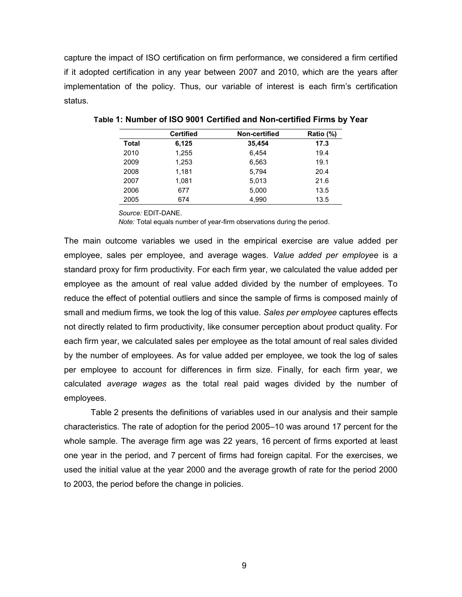capture the impact of ISO certification on firm performance, we considered a firm certified if it adopted certification in any year between 2007 and 2010, which are the years after implementation of the policy. Thus, our variable of interest is each firm's certification status.

|       | <b>Certified</b> | Non-certified | Ratio (%) |
|-------|------------------|---------------|-----------|
| Total | 6,125            | 35,454        | 17.3      |
| 2010  | 1,255            | 6.454         | 19.4      |
| 2009  | 1,253            | 6,563         | 19.1      |
| 2008  | 1,181            | 5.794         | 20.4      |
| 2007  | 1.081            | 5.013         | 21.6      |
| 2006  | 677              | 5,000         | 13.5      |
| 2005  | 674              | 4.990         | 13.5      |

**Table 1: Number of ISO 9001 Certified and Non-certified Firms by Year** 

*Source:* EDIT-DANE.

*Note:* Total equals number of year-firm observations during the period.

The main outcome variables we used in the empirical exercise are value added per employee, sales per employee, and average wages. *Value added per employee* is a standard proxy for firm productivity. For each firm year, we calculated the value added per employee as the amount of real value added divided by the number of employees. To reduce the effect of potential outliers and since the sample of firms is composed mainly of small and medium firms, we took the log of this value. *Sales per employee* captures effects not directly related to firm productivity, like consumer perception about product quality. For each firm year, we calculated sales per employee as the total amount of real sales divided by the number of employees. As for value added per employee, we took the log of sales per employee to account for differences in firm size. Finally, for each firm year, we calculated *average wages* as the total real paid wages divided by the number of employees.

Table 2 presents the definitions of variables used in our analysis and their sample characteristics. The rate of adoption for the period 2005–10 was around 17 percent for the whole sample. The average firm age was 22 years, 16 percent of firms exported at least one year in the period, and 7 percent of firms had foreign capital. For the exercises, we used the initial value at the year 2000 and the average growth of rate for the period 2000 to 2003, the period before the change in policies.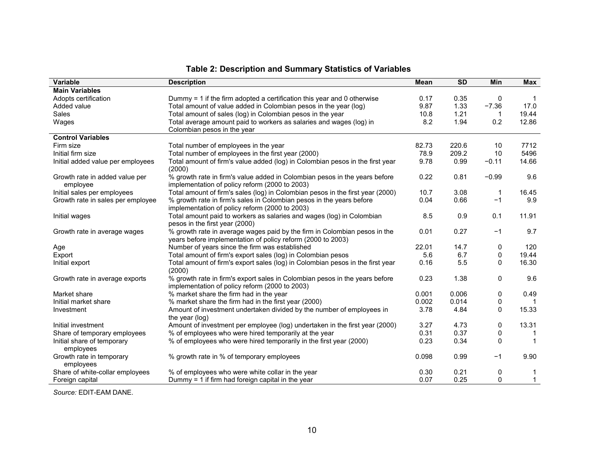| <b>Variable</b>                         | <b>Description</b>                                                                                                            | <b>Mean</b> | <b>SD</b> | Min          | <b>Max</b>   |
|-----------------------------------------|-------------------------------------------------------------------------------------------------------------------------------|-------------|-----------|--------------|--------------|
| <b>Main Variables</b>                   |                                                                                                                               |             |           |              |              |
| Adopts certification                    | Dummy $=$ 1 if the firm adopted a certification this year and 0 otherwise                                                     | 0.17        | 0.35      | 0            |              |
| Added value                             | Total amount of value added in Colombian pesos in the year (log)                                                              | 9.87        | 1.33      | $-7.36$      | 17.0         |
| Sales                                   | Total amount of sales (log) in Colombian pesos in the year                                                                    | 10.8        | 1.21      |              | 19.44        |
| Wages                                   | Total average amount paid to workers as salaries and wages (log) in                                                           | 8.2         | 1.94      | 0.2          | 12.86        |
|                                         | Colombian pesos in the year                                                                                                   |             |           |              |              |
| <b>Control Variables</b>                |                                                                                                                               |             |           |              |              |
| Firm size                               | Total number of employees in the year                                                                                         | 82.73       | 220.6     | 10           | 7712         |
| Initial firm size                       | Total number of employees in the first year (2000)                                                                            | 78.9        | 209.2     | 10           | 5496         |
| Initial added value per employees       | Total amount of firm's value added (log) in Colombian pesos in the first year<br>(2000)                                       | 9.78        | 0.99      | $-0.11$      | 14.66        |
| Growth rate in added value per          | % growth rate in firm's value added in Colombian pesos in the years before                                                    | 0.22        | 0.81      | $-0.99$      | 9.6          |
| employee                                | implementation of policy reform (2000 to 2003)                                                                                |             |           |              |              |
| Initial sales per employees             | Total amount of firm's sales (log) in Colombian pesos in the first year (2000)                                                | 10.7        | 3.08      | -1           | 16.45        |
| Growth rate in sales per employee       | % growth rate in firm's sales in Colombian pesos in the years before                                                          | 0.04        | 0.66      | $-1$         | 9.9          |
|                                         | implementation of policy reform (2000 to 2003)                                                                                |             |           |              |              |
| Initial wages                           | Total amount paid to workers as salaries and wages (log) in Colombian                                                         | 8.5         | 0.9       | 0.1          | 11.91        |
|                                         | pesos in the first year (2000)                                                                                                |             |           |              |              |
| Growth rate in average wages            | % growth rate in average wages paid by the firm in Colombian pesos in the                                                     | 0.01        | 0.27      | $-1$         | 9.7          |
|                                         | years before implementation of policy reform (2000 to 2003)                                                                   |             |           |              |              |
| Age                                     | Number of years since the firm was established                                                                                | 22.01       | 14.7      | 0            | 120          |
| Export                                  | Total amount of firm's export sales (log) in Colombian pesos                                                                  | 5.6         | 6.7       | 0            | 19.44        |
| Initial export                          | Total amount of firm's export sales (log) in Colombian pesos in the first year<br>(2000)                                      | 0.16        | 5.5       | $\mathbf{0}$ | 16.30        |
| Growth rate in average exports          | % growth rate in firm's export sales in Colombian pesos in the years before<br>implementation of policy reform (2000 to 2003) | 0.23        | 1.38      | $\mathbf{0}$ | 9.6          |
| Market share                            | % market share the firm had in the year                                                                                       | 0.001       | 0.006     | 0            | 0.49         |
| Initial market share                    | % market share the firm had in the first year (2000)                                                                          | 0.002       | 0.014     | 0            |              |
| Investment                              | Amount of investment undertaken divided by the number of employees in<br>the year (log)                                       | 3.78        | 4.84      | $\mathbf{0}$ | 15.33        |
| Initial investment                      | Amount of investment per employee (log) undertaken in the first year (2000)                                                   | 3.27        | 4.73      | 0            | 13.31        |
| Share of temporary employees            | % of employees who were hired temporarily at the year                                                                         | 0.31        | 0.37      | 0            |              |
| Initial share of temporary<br>employees | % of employees who were hired temporarily in the first year (2000)                                                            | 0.23        | 0.34      | $\mathbf{0}$ |              |
| Growth rate in temporary<br>employees   | % growth rate in % of temporary employees                                                                                     | 0.098       | 0.99      | $-1$         | 9.90         |
| Share of white-collar employees         | % of employees who were white collar in the year                                                                              | 0.30        | 0.21      | 0            |              |
| Foreign capital                         | Dummy = 1 if firm had foreign capital in the year                                                                             | 0.07        | 0.25      | $\mathbf{0}$ | $\mathbf{1}$ |

### **Table 2: Description and Summary Statistics of Variables**

*Source:* EDIT-EAM DANE.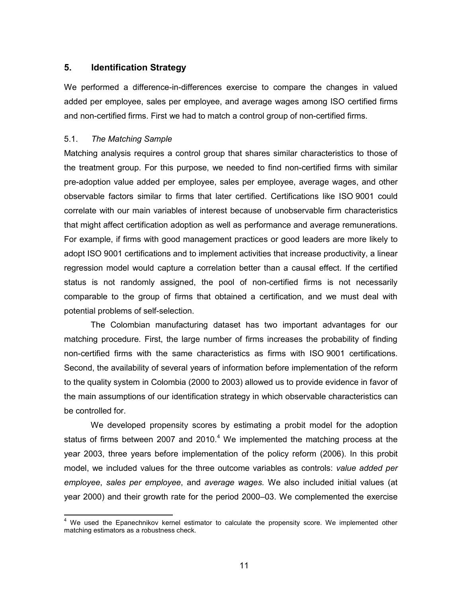#### **5. Identification Strategy**

We performed a difference-in-differences exercise to compare the changes in valued added per employee, sales per employee, and average wages among ISO certified firms and non-certified firms. First we had to match a control group of non-certified firms.

#### 5.1. *The Matching Sample*

Matching analysis requires a control group that shares similar characteristics to those of the treatment group. For this purpose, we needed to find non-certified firms with similar pre-adoption value added per employee, sales per employee, average wages, and other observable factors similar to firms that later certified. Certifications like ISO 9001 could correlate with our main variables of interest because of unobservable firm characteristics that might affect certification adoption as well as performance and average remunerations. For example, if firms with good management practices or good leaders are more likely to adopt ISO 9001 certifications and to implement activities that increase productivity, a linear regression model would capture a correlation better than a causal effect. If the certified status is not randomly assigned, the pool of non-certified firms is not necessarily comparable to the group of firms that obtained a certification, and we must deal with potential problems of self-selection.

The Colombian manufacturing dataset has two important advantages for our matching procedure. First, the large number of firms increases the probability of finding non-certified firms with the same characteristics as firms with ISO 9001 certifications. Second, the availability of several years of information before implementation of the reform to the quality system in Colombia (2000 to 2003) allowed us to provide evidence in favor of the main assumptions of our identification strategy in which observable characteristics can be controlled for.

We developed propensity scores by estimating a probit model for the adoption status of firms between 2007 and 2010.<sup>4</sup> We implemented the matching process at the year 2003, three years before implementation of the policy reform (2006). In this probit model, we included values for the three outcome variables as controls: *value added per employee*, *sales per employee*, and *average wages.* We also included initial values (at year 2000) and their growth rate for the period 2000–03. We complemented the exercise

j 4 We used the Epanechnikov kernel estimator to calculate the propensity score. We implemented other matching estimators as a robustness check.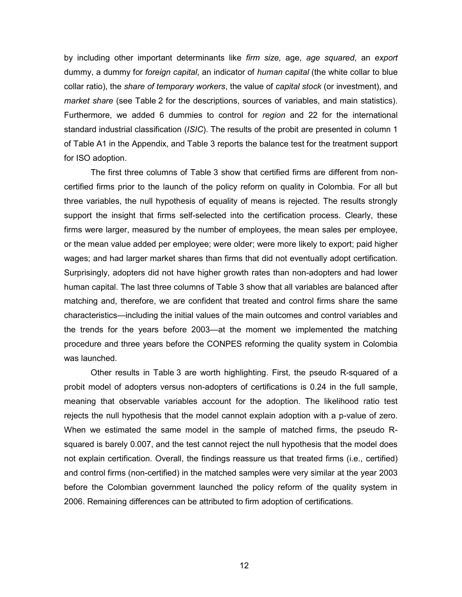by including other important determinants like *firm size,* age, *age squared*, an *export* dummy, a dummy for *foreign capital*, an indicator of *human capital* (the white collar to blue collar ratio), the *share of temporary workers*, the value of *capital stock* (or investment), and *market share* (see Table 2 for the descriptions, sources of variables, and main statistics). Furthermore, we added 6 dummies to control for *region* and 22 for the international standard industrial classification (*ISIC*). The results of the probit are presented in column 1 of Table A1 in the Appendix, and Table 3 reports the balance test for the treatment support for ISO adoption.

The first three columns of Table 3 show that certified firms are different from noncertified firms prior to the launch of the policy reform on quality in Colombia. For all but three variables, the null hypothesis of equality of means is rejected. The results strongly support the insight that firms self-selected into the certification process. Clearly, these firms were larger, measured by the number of employees, the mean sales per employee, or the mean value added per employee; were older; were more likely to export; paid higher wages; and had larger market shares than firms that did not eventually adopt certification. Surprisingly, adopters did not have higher growth rates than non-adopters and had lower human capital. The last three columns of Table 3 show that all variables are balanced after matching and, therefore, we are confident that treated and control firms share the same characteristics—including the initial values of the main outcomes and control variables and the trends for the years before 2003—at the moment we implemented the matching procedure and three years before the CONPES reforming the quality system in Colombia was launched.

Other results in Table 3 are worth highlighting. First, the pseudo R-squared of a probit model of adopters versus non-adopters of certifications is 0.24 in the full sample, meaning that observable variables account for the adoption. The likelihood ratio test rejects the null hypothesis that the model cannot explain adoption with a p-value of zero. When we estimated the same model in the sample of matched firms, the pseudo Rsquared is barely 0.007, and the test cannot reject the null hypothesis that the model does not explain certification. Overall, the findings reassure us that treated firms (i.e., certified) and control firms (non-certified) in the matched samples were very similar at the year 2003 before the Colombian government launched the policy reform of the quality system in 2006. Remaining differences can be attributed to firm adoption of certifications.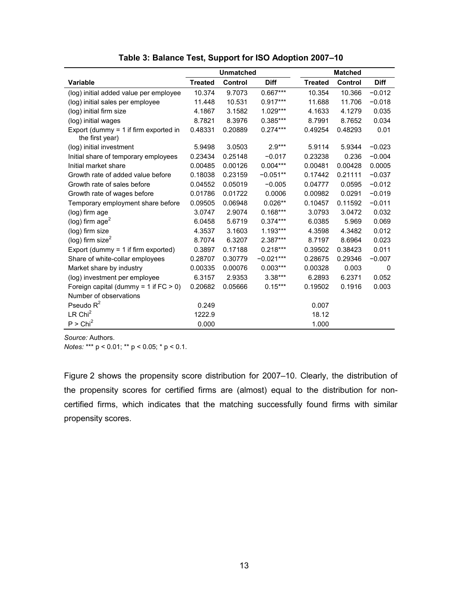|                                                            | <b>Unmatched</b> |         |             |                | <b>Matched</b> |             |  |  |
|------------------------------------------------------------|------------------|---------|-------------|----------------|----------------|-------------|--|--|
| <b>Variable</b>                                            | <b>Treated</b>   | Control | <b>Diff</b> | <b>Treated</b> | <b>Control</b> | <b>Diff</b> |  |  |
| (log) initial added value per employee                     | 10.374           | 9.7073  | 0.667***    | 10.354         | 10.366         | $-0.012$    |  |  |
| (log) initial sales per employee                           | 11.448           | 10.531  | $0.917***$  | 11.688         | 11.706         | $-0.018$    |  |  |
| (log) initial firm size                                    | 4.1867           | 3.1582  | 1.029***    | 4.1633         | 4.1279         | 0.035       |  |  |
| (log) initial wages                                        | 8.7821           | 8.3976  | 0.385***    | 8.7991         | 8.7652         | 0.034       |  |  |
| Export (dummy $=$ 1 if firm exported in<br>the first year) | 0.48331          | 0.20889 | $0.274***$  | 0.49254        | 0.48293        | 0.01        |  |  |
| (log) initial investment                                   | 5.9498           | 3.0503  | $2.9***$    | 5.9114         | 5.9344         | $-0.023$    |  |  |
| Initial share of temporary employees                       | 0.23434          | 0.25148 | $-0.017$    | 0.23238        | 0.236          | $-0.004$    |  |  |
| Initial market share                                       | 0.00485          | 0.00126 | $0.004***$  | 0.00481        | 0.00428        | 0.0005      |  |  |
| Growth rate of added value before                          | 0.18038          | 0.23159 | $-0.051**$  | 0.17442        | 0.21111        | $-0.037$    |  |  |
| Growth rate of sales before                                | 0.04552          | 0.05019 | $-0.005$    | 0.04777        | 0.0595         | $-0.012$    |  |  |
| Growth rate of wages before                                | 0.01786          | 0.01722 | 0.0006      | 0.00982        | 0.0291         | $-0.019$    |  |  |
| Temporary employment share before                          | 0.09505          | 0.06948 | $0.026**$   | 0.10457        | 0.11592        | $-0.011$    |  |  |
| (log) firm age                                             | 3.0747           | 2.9074  | $0.168***$  | 3.0793         | 3.0472         | 0.032       |  |  |
| (log) firm $age2$                                          | 6.0458           | 5.6719  | $0.374***$  | 6.0385         | 5.969          | 0.069       |  |  |
| (log) firm size                                            | 4.3537           | 3.1603  | $1.193***$  | 4.3598         | 4.3482         | 0.012       |  |  |
| (log) firm size $^2$                                       | 8.7074           | 6.3207  | 2.387***    | 8.7197         | 8.6964         | 0.023       |  |  |
| Export (dummy $=$ 1 if firm exported)                      | 0.3897           | 0.17188 | $0.218***$  | 0.39502        | 0.38423        | 0.011       |  |  |
| Share of white-collar employees                            | 0.28707          | 0.30779 | $-0.021***$ | 0.28675        | 0.29346        | $-0.007$    |  |  |
| Market share by industry                                   | 0.00335          | 0.00076 | $0.003***$  | 0.00328        | 0.003          | 0           |  |  |
| (log) investment per employee                              | 6.3157           | 2.9353  | $3.38***$   | 6.2893         | 6.2371         | 0.052       |  |  |
| Foreign capital (dummy = 1 if $FC > 0$ )                   | 0.20682          | 0.05666 | $0.15***$   | 0.19502        | 0.1916         | 0.003       |  |  |
| Number of observations                                     |                  |         |             |                |                |             |  |  |
| Pseudo $R^2$                                               | 0.249            |         |             | 0.007          |                |             |  |  |
| LR Chi <sup>2</sup>                                        | 1222.9           |         |             | 18.12          |                |             |  |  |
| P > Chi <sup>2</sup>                                       | 0.000            |         |             | 1.000          |                |             |  |  |

**Table 3: Balance Test, Support for ISO Adoption 2007–10**

*Source:* Authors.

*Notes:* \*\*\* p < 0.01; \*\* p < 0.05; \* p < 0.1.

Figure 2 shows the propensity score distribution for 2007–10. Clearly, the distribution of the propensity scores for certified firms are (almost) equal to the distribution for noncertified firms, which indicates that the matching successfully found firms with similar propensity scores.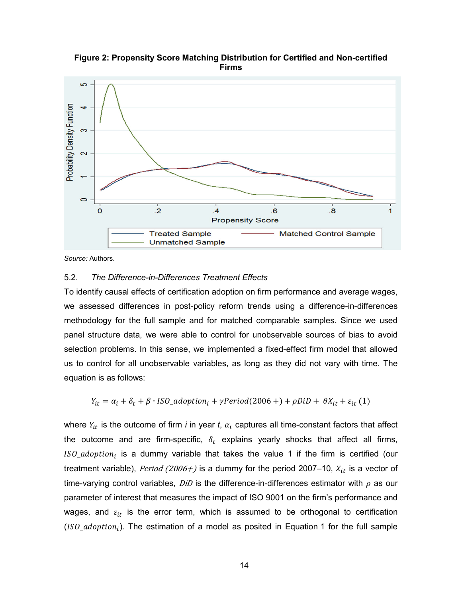မာ Probability Density Function က

 $\overline{.4}$ 

**Propensity Score** 

 $6.5$ 

 $\overline{\mathbf{8}}$ 

- Matched Control Sample

 $\overline{1}$ 



*Source:* Authors.

 $\circ$ 

Ō

#### 5.2. *The Difference-in-Differences Treatment Effects*

**Treated Sample** 

**Unmatched Sample** 

 $\overline{2}$ 

To identify causal effects of certification adoption on firm performance and average wages, we assessed differences in post-policy reform trends using a difference-in-differences methodology for the full sample and for matched comparable samples. Since we used panel structure data, we were able to control for unobservable sources of bias to avoid selection problems. In this sense, we implemented a fixed-effect firm model that allowed us to control for all unobservable variables, as long as they did not vary with time. The equation is as follows:

$$
Y_{it} = \alpha_i + \delta_t + \beta \cdot ISO\_adoption_i + \gamma Period(2006+) + \rho DiD + \theta X_{it} + \varepsilon_{it} (1)
$$

where  $Y_{it}$  is the outcome of firm *i* in year *t*,  $\alpha_i$  captures all time-constant factors that affect the outcome and are firm-specific,  $\delta_t$  explains yearly shocks that affect all firms, ISO\_adoption<sub>i</sub> is a dummy variable that takes the value 1 if the firm is certified (our treatment variable), Period (2006+) is a dummy for the period 2007–10,  $X_{it}$  is a vector of time-varying control variables,  $DiD$  is the difference-in-differences estimator with  $\rho$  as our parameter of interest that measures the impact of ISO 9001 on the firm's performance and wages, and  $\varepsilon_{it}$  is the error term, which is assumed to be orthogonal to certification (ISO\_adoption<sub>i</sub>). The estimation of a model as posited in Equation 1 for the full sample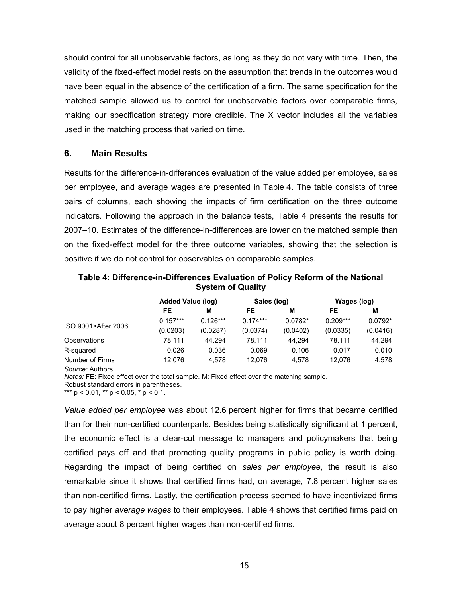should control for all unobservable factors, as long as they do not vary with time. Then, the validity of the fixed-effect model rests on the assumption that trends in the outcomes would have been equal in the absence of the certification of a firm. The same specification for the matched sample allowed us to control for unobservable factors over comparable firms, making our specification strategy more credible. The X vector includes all the variables used in the matching process that varied on time.

#### **6. Main Results**

Results for the difference-in-differences evaluation of the value added per employee, sales per employee, and average wages are presented in Table 4. The table consists of three pairs of columns, each showing the impacts of firm certification on the three outcome indicators. Following the approach in the balance tests, Table 4 presents the results for 2007–10. Estimates of the difference-in-differences are lower on the matched sample than on the fixed-effect model for the three outcome variables, showing that the selection is positive if we do not control for observables on comparable samples.

|                     | <b>Added Value (log)</b> |            | Sales (log) |           | Wages (log) |           |
|---------------------|--------------------------|------------|-------------|-----------|-------------|-----------|
|                     | FE                       | м          | FE          | M         | FE          | M         |
| ISO 9001×After 2006 | $0.157***$               | $0.126***$ | $0.174***$  | $0.0782*$ | $0.209***$  | $0.0792*$ |
|                     | (0.0203)                 | (0.0287)   | (0.0374)    | (0.0402)  | (0.0335)    | (0.0416)  |
| Observations        | 78.111                   | 44.294     | 78.111      | 44.294    | 78.111      | 44.294    |
| R-squared           | 0.026                    | 0.036      | 0.069       | 0.106     | 0.017       | 0.010     |
| Number of Firms     | 12.076                   | 4.578      | 12.076      | 4.578     | 12.076      | 4,578     |

**Table 4: Difference-in-Differences Evaluation of Policy Reform of the National System of Quality** 

*Source:* Authors.

*Notes:* FE: Fixed effect over the total sample. M: Fixed effect over the matching sample. Robust standard errors in parentheses.

\*\*\*  $p$  < 0.01, \*\*  $p$  < 0.05, \*  $p$  < 0.1.

*Value added per employee* was about 12.6 percent higher for firms that became certified than for their non-certified counterparts. Besides being statistically significant at 1 percent, the economic effect is a clear-cut message to managers and policymakers that being certified pays off and that promoting quality programs in public policy is worth doing. Regarding the impact of being certified on *sales per employee*, the result is also remarkable since it shows that certified firms had, on average, 7.8 percent higher sales than non-certified firms. Lastly, the certification process seemed to have incentivized firms to pay higher *average wages* to their employees. Table 4 shows that certified firms paid on average about 8 percent higher wages than non-certified firms.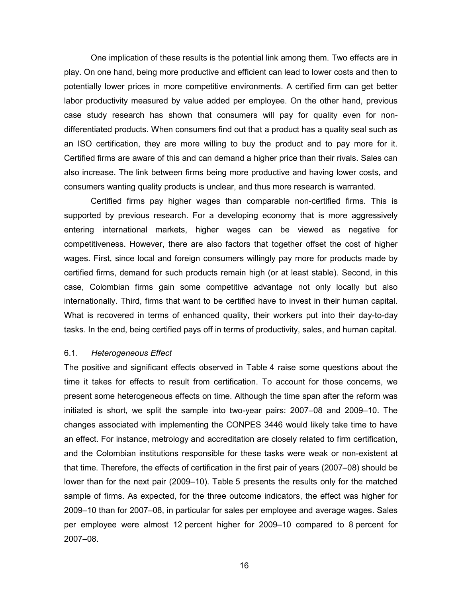One implication of these results is the potential link among them. Two effects are in play. On one hand, being more productive and efficient can lead to lower costs and then to potentially lower prices in more competitive environments. A certified firm can get better labor productivity measured by value added per employee. On the other hand, previous case study research has shown that consumers will pay for quality even for nondifferentiated products. When consumers find out that a product has a quality seal such as an ISO certification, they are more willing to buy the product and to pay more for it. Certified firms are aware of this and can demand a higher price than their rivals. Sales can also increase. The link between firms being more productive and having lower costs, and consumers wanting quality products is unclear, and thus more research is warranted.

Certified firms pay higher wages than comparable non-certified firms. This is supported by previous research. For a developing economy that is more aggressively entering international markets, higher wages can be viewed as negative for competitiveness. However, there are also factors that together offset the cost of higher wages. First, since local and foreign consumers willingly pay more for products made by certified firms, demand for such products remain high (or at least stable). Second, in this case, Colombian firms gain some competitive advantage not only locally but also internationally. Third, firms that want to be certified have to invest in their human capital. What is recovered in terms of enhanced quality, their workers put into their day-to-day tasks. In the end, being certified pays off in terms of productivity, sales, and human capital.

#### 6.1. *Heterogeneous Effect*

The positive and significant effects observed in Table 4 raise some questions about the time it takes for effects to result from certification. To account for those concerns, we present some heterogeneous effects on time. Although the time span after the reform was initiated is short, we split the sample into two-year pairs: 2007–08 and 2009–10. The changes associated with implementing the CONPES 3446 would likely take time to have an effect. For instance, metrology and accreditation are closely related to firm certification, and the Colombian institutions responsible for these tasks were weak or non-existent at that time. Therefore, the effects of certification in the first pair of years (2007–08) should be lower than for the next pair (2009–10). Table 5 presents the results only for the matched sample of firms. As expected, for the three outcome indicators, the effect was higher for 2009–10 than for 2007–08, in particular for sales per employee and average wages. Sales per employee were almost 12 percent higher for 2009–10 compared to 8 percent for 2007–08.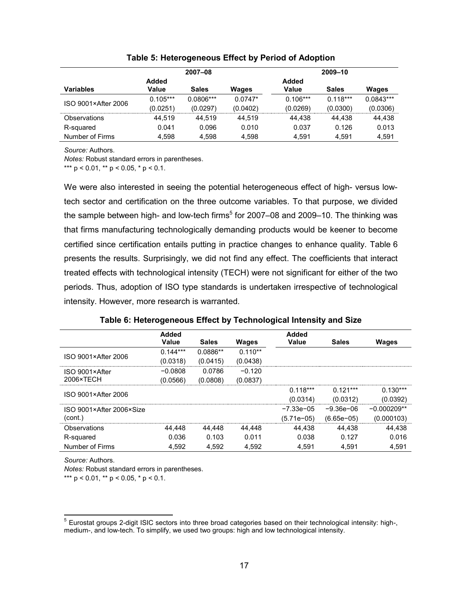|                     | 2007-08    |              |              | 2009-10    |              |              |
|---------------------|------------|--------------|--------------|------------|--------------|--------------|
|                     | Added      |              |              | Added      |              |              |
| <b>Variables</b>    | Value      | <b>Sales</b> | <b>Wages</b> | Value      | <b>Sales</b> | <b>Wages</b> |
| ISO 9001×After 2006 | $0.105***$ | $0.0806***$  | $0.0747*$    | $0.106***$ | $0.118***$   | $0.0843***$  |
|                     | (0.0251)   | (0.0297)     | (0.0402)     | (0.0269)   | (0.0300)     | (0.0306)     |
| Observations        | 44.519     | 44.519       | 44.519       | 44.438     | 44.438       | 44.438       |
| R-squared           | 0.041      | 0.096        | 0.010        | 0.037      | 0.126        | 0.013        |
| Number of Firms     | 4.598      | 4.598        | 4.598        | 4.591      | 4.591        | 4.591        |

**Table 5: Heterogeneous Effect by Period of Adoption** 

*Source:* Authors.

*Notes:* Robust standard errors in parentheses.

\*\*\*  $p$  < 0.01, \*\*  $p$  < 0.05, \*  $p$  < 0.1.

We were also interested in seeing the potential heterogeneous effect of high- versus lowtech sector and certification on the three outcome variables. To that purpose, we divided the sample between high- and low-tech firms<sup>5</sup> for 2007–08 and 2009–10. The thinking was that firms manufacturing technologically demanding products would be keener to become certified since certification entails putting in practice changes to enhance quality. Table 6 presents the results. Surprisingly, we did not find any effect. The coefficients that interact treated effects with technological intensity (TECH) were not significant for either of the two periods. Thus, adoption of ISO type standards is undertaken irrespective of technological intensity. However, more research is warranted.

|                     | Added<br>Value | <b>Sales</b> | <b>Wages</b> | Added<br>Value | <b>Sales</b> | <b>Wages</b> |
|---------------------|----------------|--------------|--------------|----------------|--------------|--------------|
|                     | $0.144***$     | 0.0886**     | $0.110**$    |                |              |              |
| ISO 9001×After 2006 | (0.0318)       | (0.0415)     | (0.0438)     |                |              |              |
| ISO 9001×After      | $-0.0808$      | 0.0786       | $-0.120$     |                |              |              |
| 2006×TECH           | (0.0566)       | (0.0808)     | (0.0837)     |                |              |              |
|                     |                |              |              | $0.118***$     | $0.121***$   | $0.130***$   |
| ISO 9001×After 2006 |                |              |              | (0.0314)       | (0.0312)     | (0.0392)     |

Observations 44,448 44,448 44,448 44,438 44,438 44,438 R-squared 0.036 0.103 0.011 0.038 0.127 0.016 Number of Firms 4,592 4,592 4,592 4,591 4,591 4,591

 −7.33e−05 −9.36e−06 −0.000209\*\* (5.71e−05) (6.65e−05) (0.000103)

#### **Table 6: Heterogeneous Effect by Technological Intensity and Size**

*Source:* Authors.

(cont.)

*Notes:* Robust standard errors in parentheses.

\*\*\*  $p < 0.01$ , \*\*  $p < 0.05$ , \*  $p < 0.1$ .

ISO 9001×After 2006×Size

 5 Eurostat groups 2-digit ISIC sectors into three broad categories based on their technological intensity: high-, medium-, and low-tech. To simplify, we used two groups: high and low technological intensity.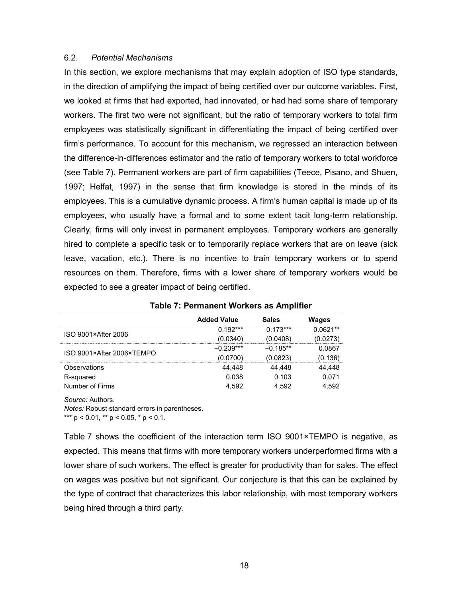#### 6.2. *Potential Mechanisms*

In this section, we explore mechanisms that may explain adoption of ISO type standards, in the direction of amplifying the impact of being certified over our outcome variables. First, we looked at firms that had exported, had innovated, or had had some share of temporary workers. The first two were not significant, but the ratio of temporary workers to total firm employees was statistically significant in differentiating the impact of being certified over firm's performance. To account for this mechanism, we regressed an interaction between the difference-in-differences estimator and the ratio of temporary workers to total workforce (see Table 7). Permanent workers are part of firm capabilities (Teece, Pisano, and Shuen, 1997; Helfat, 1997) in the sense that firm knowledge is stored in the minds of its employees. This is a cumulative dynamic process. A firm's human capital is made up of its employees, who usually have a formal and to some extent tacit long-term relationship. Clearly, firms will only invest in permanent employees. Temporary workers are generally hired to complete a specific task or to temporarily replace workers that are on leave (sick leave, vacation, etc.). There is no incentive to train temporary workers or to spend resources on them. Therefore, firms with a lower share of temporary workers would be expected to see a greater impact of being certified.

|                           | <b>Added Value</b> | <b>Sales</b> | Wages      |
|---------------------------|--------------------|--------------|------------|
| ISO 9001×After 2006       | $0.192***$         | $0.173***$   | $0.0621**$ |
|                           | (0.0340)           | (0.0408)     | (0.0273)   |
| ISO 9001×After 2006×TEMPO | $-0.239***$        | $-0.185***$  | 0.0867     |
|                           | (0.0700)           | (0.0823)     | (0.136)    |
| Observations              | 44.448             | 44.448       | 44.448     |
| R-squared                 | 0.038              | 0.103        | 0.071      |
| Number of Firms           | 4.592              | 4.592        | 4.592      |

#### **Table 7: Permanent Workers as Amplifier**

*Source:* Authors.

*Notes:* Robust standard errors in parentheses.

\*\*\*  $p < 0.01$ , \*\*  $p < 0.05$ , \*  $p < 0.1$ .

Table 7 shows the coefficient of the interaction term ISO 9001×TEMPO is negative, as expected. This means that firms with more temporary workers underperformed firms with a lower share of such workers. The effect is greater for productivity than for sales. The effect on wages was positive but not significant. Our conjecture is that this can be explained by the type of contract that characterizes this labor relationship, with most temporary workers being hired through a third party.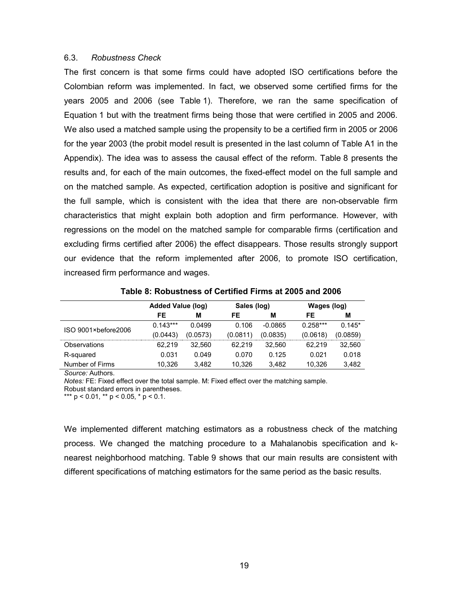#### 6.3. *Robustness Check*

The first concern is that some firms could have adopted ISO certifications before the Colombian reform was implemented. In fact, we observed some certified firms for the years 2005 and 2006 (see Table 1). Therefore, we ran the same specification of Equation 1 but with the treatment firms being those that were certified in 2005 and 2006. We also used a matched sample using the propensity to be a certified firm in 2005 or 2006 for the year 2003 (the probit model result is presented in the last column of Table A1 in the Appendix). The idea was to assess the causal effect of the reform. Table 8 presents the results and, for each of the main outcomes, the fixed-effect model on the full sample and on the matched sample. As expected, certification adoption is positive and significant for the full sample, which is consistent with the idea that there are non-observable firm characteristics that might explain both adoption and firm performance. However, with regressions on the model on the matched sample for comparable firms (certification and excluding firms certified after 2006) the effect disappears. Those results strongly support our evidence that the reform implemented after 2006, to promote ISO certification, increased firm performance and wages.

|                     | <b>Added Value (log)</b> |          | Sales (log) |           | Wages (log) |          |
|---------------------|--------------------------|----------|-------------|-----------|-------------|----------|
|                     | FE                       | м        | FE          | M         | FE          | М        |
|                     | $0.143***$               | 0.0499   | 0.106       | $-0.0865$ | $0.258***$  | $0.145*$ |
| ISO 9001×before2006 | (0.0443)                 | (0.0573) | (0.0811)    | (0.0835)  | (0.0618)    | (0.0859) |
| <b>Observations</b> | 62.219                   | 32.560   | 62.219      | 32.560    | 62.219      | 32,560   |
| R-squared           | 0.031                    | 0.049    | 0.070       | 0.125     | 0.021       | 0.018    |
| Number of Firms     | 10,326                   | 3.482    | 10.326      | 3.482     | 10.326      | 3,482    |

**Table 8: Robustness of Certified Firms at 2005 and 2006** 

*Source:* Authors.

*Notes:* FE: Fixed effect over the total sample. M: Fixed effect over the matching sample.

Robust standard errors in parentheses.

\*\*\*  $p < 0.01$ , \*\*  $p < 0.05$ , \*  $p < 0.1$ .

We implemented different matching estimators as a robustness check of the matching process. We changed the matching procedure to a Mahalanobis specification and knearest neighborhood matching. Table 9 shows that our main results are consistent with different specifications of matching estimators for the same period as the basic results.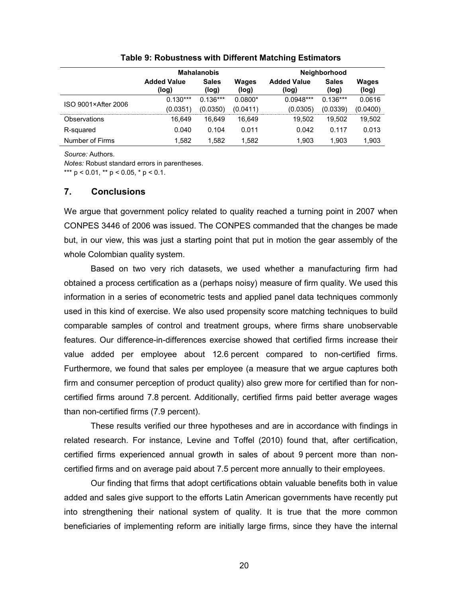|                     | <b>Mahalanobis</b>          |                       |                       | Neighborhood                |                       |                       |  |
|---------------------|-----------------------------|-----------------------|-----------------------|-----------------------------|-----------------------|-----------------------|--|
|                     | <b>Added Value</b><br>(log) | <b>Sales</b><br>(log) | <b>Wages</b><br>(log) | <b>Added Value</b><br>(log) | <b>Sales</b><br>(log) | <b>Wages</b><br>(log) |  |
| ISO 9001×After 2006 | $0.130***$                  | $0.136***$            | $0.0800*$             | $0.0948***$                 | $0.136***$            | 0.0616                |  |
|                     | (0.0351)                    | (0.0350)              | (0.0411)              | (0.0305)                    | (0.0339)              | (0.0400)              |  |
| Observations        | 16.649                      | 16.649                | 16.649                | 19.502                      | 19.502                | 19,502                |  |
| R-squared           | 0.040                       | 0.104                 | 0.011                 | 0.042                       | 0.117                 | 0.013                 |  |
| Number of Firms     | 1.582                       | 1.582                 | 1.582                 | 1.903                       | 1,903                 | 1,903                 |  |

#### **Table 9: Robustness with Different Matching Estimators**

*Source:* Authors.

*Notes:* Robust standard errors in parentheses.

\*\*\*  $p < 0.01$ , \*\*  $p < 0.05$ , \*  $p < 0.1$ .

#### **7. Conclusions**

We argue that government policy related to quality reached a turning point in 2007 when CONPES 3446 of 2006 was issued. The CONPES commanded that the changes be made but, in our view, this was just a starting point that put in motion the gear assembly of the whole Colombian quality system.

Based on two very rich datasets, we used whether a manufacturing firm had obtained a process certification as a (perhaps noisy) measure of firm quality. We used this information in a series of econometric tests and applied panel data techniques commonly used in this kind of exercise. We also used propensity score matching techniques to build comparable samples of control and treatment groups, where firms share unobservable features. Our difference-in-differences exercise showed that certified firms increase their value added per employee about 12.6 percent compared to non-certified firms. Furthermore, we found that sales per employee (a measure that we argue captures both firm and consumer perception of product quality) also grew more for certified than for noncertified firms around 7.8 percent. Additionally, certified firms paid better average wages than non-certified firms (7.9 percent).

These results verified our three hypotheses and are in accordance with findings in related research. For instance, Levine and Toffel (2010) found that, after certification, certified firms experienced annual growth in sales of about 9 percent more than noncertified firms and on average paid about 7.5 percent more annually to their employees.

Our finding that firms that adopt certifications obtain valuable benefits both in value added and sales give support to the efforts Latin American governments have recently put into strengthening their national system of quality. It is true that the more common beneficiaries of implementing reform are initially large firms, since they have the internal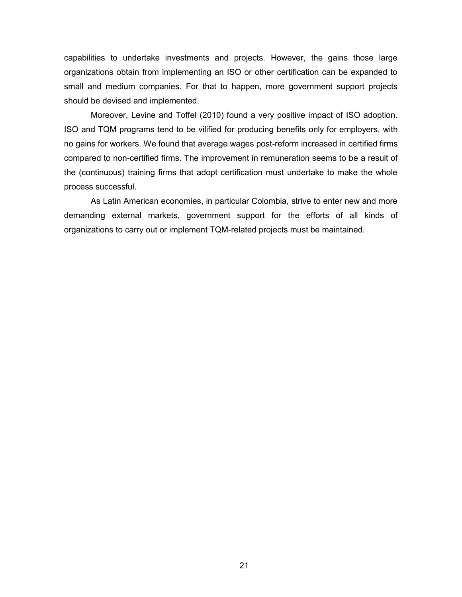capabilities to undertake investments and projects. However, the gains those large organizations obtain from implementing an ISO or other certification can be expanded to small and medium companies. For that to happen, more government support projects should be devised and implemented.

Moreover, Levine and Toffel (2010) found a very positive impact of ISO adoption. ISO and TQM programs tend to be vilified for producing benefits only for employers, with no gains for workers. We found that average wages post-reform increased in certified firms compared to non-certified firms. The improvement in remuneration seems to be a result of the (continuous) training firms that adopt certification must undertake to make the whole process successful.

As Latin American economies, in particular Colombia, strive to enter new and more demanding external markets, government support for the efforts of all kinds of organizations to carry out or implement TQM-related projects must be maintained.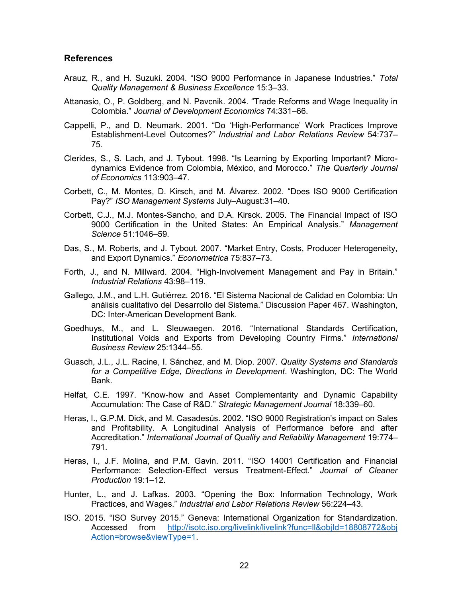#### **References**

- Arauz, R., and H. Suzuki. 2004. "ISO 9000 Performance in Japanese Industries." *Total Quality Management & Business Excellence* 15:3–33.
- Attanasio, O., P. Goldberg, and N. Pavcnik. 2004. "Trade Reforms and Wage Inequality in Colombia." *Journal of Development Economics* 74:331–66.
- Cappelli, P., and D. Neumark. 2001. "Do 'High-Performance' Work Practices Improve Establishment-Level Outcomes?" *Industrial and Labor Relations Review* 54:737– 75.
- Clerides, S., S. Lach, and J. Tybout. 1998. "Is Learning by Exporting Important? Microdynamics Evidence from Colombia, México, and Morocco." *The Quarterly Journal of Economics* 113:903–47.
- Corbett, C., M. Montes, D. Kirsch, and M. Álvarez. 2002. "Does ISO 9000 Certification Pay?" *ISO Management Systems* July–August:31–40.
- Corbett, C.J., M.J. Montes-Sancho, and D.A. Kirsck. 2005. The Financial Impact of ISO 9000 Certification in the United States: An Empirical Analysis." *Management Science* 51:1046–59.
- Das, S., M. Roberts, and J. Tybout. 2007. "Market Entry, Costs, Producer Heterogeneity, and Export Dynamics." *Econometrica* 75:837–73.
- Forth, J., and N. Millward. 2004. "High-Involvement Management and Pay in Britain." *Industrial Relations* 43:98–119.
- Gallego, J.M., and L.H. Gutiérrez. 2016. "El Sistema Nacional de Calidad en Colombia: Un análisis cualitativo del Desarrollo del Sistema." Discussion Paper 467. Washington, DC: Inter-American Development Bank.
- Goedhuys, M., and L. Sleuwaegen. 2016. "International Standards Certification, Institutional Voids and Exports from Developing Country Firms." *International Business Review* 25:1344–55.
- Guasch, J.L., J.L. Racine, I. Sánchez, and M. Diop. 2007. *Quality Systems and Standards for a Competitive Edge, Directions in Development*. Washington, DC: The World Bank.
- Helfat, C.E. 1997. "Know-how and Asset Complementarity and Dynamic Capability Accumulation: The Case of R&D." *Strategic Management Journal* 18:339–60.
- Heras, I., G.P.M. Dick, and M. Casadesús. 2002. "ISO 9000 Registration's impact on Sales and Profitability. A Longitudinal Analysis of Performance before and after Accreditation." *International Journal of Quality and Reliability Management* 19:774– 791.
- Heras, I., J.F. Molina, and P.M. Gavin. 2011. "ISO 14001 Certification and Financial Performance: Selection-Effect versus Treatment-Effect." *Journal of Cleaner Production* 19:1–12.
- Hunter, L., and J. Lafkas. 2003. "Opening the Box: Information Technology, Work Practices, and Wages." *Industrial and Labor Relations Review* 56:224–43.
- ISO. 2015. "ISO Survey 2015." Geneva: International Organization for Standardization. Accessed from [http://isotc.iso.org/livelink/livelink?func=ll&objId=18808772&obj](http://isotc.iso.org/livelink/livelink?func=ll&objId=18808772&obj%20Action=browse&viewType=1)  [Action=browse&viewType=1.](http://isotc.iso.org/livelink/livelink?func=ll&objId=18808772&obj%20Action=browse&viewType=1)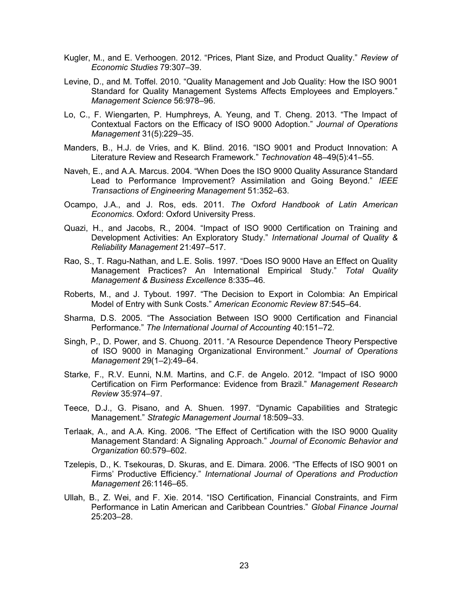- Kugler, M., and E. Verhoogen. 2012. "Prices, Plant Size, and Product Quality." *Review of Economic Studies* 79:307–39.
- Levine, D., and M. Toffel. 2010. "Quality Management and Job Quality: How the ISO 9001 Standard for Quality Management Systems Affects Employees and Employers." *Management Science* 56:978–96.
- Lo, C., F. Wiengarten, P. Humphreys, A. Yeung, and T. Cheng. 2013. "The Impact of Contextual Factors on the Efficacy of ISO 9000 Adoption." *Journal of Operations Management* 31(5):229–35.
- Manders, B., H.J. de Vries, and K. Blind. 2016. "ISO 9001 and Product Innovation: A Literature Review and Research Framework." *Technovation* 48–49(5):41–55.
- Naveh, E., and A.A. Marcus. 2004. "When Does the ISO 9000 Quality Assurance Standard Lead to Performance Improvement? Assimilation and Going Beyond." *IEEE Transactions of Engineering Management* 51:352–63.
- Ocampo, J.A., and J. Ros, eds. 2011. *The Oxford Handbook of Latin American Economics*. Oxford: Oxford University Press.
- Quazi, H., and Jacobs, R., 2004. "Impact of ISO 9000 Certification on Training and Development Activities: An Exploratory Study." *International Journal of Quality & Reliability Management* 21:497–517.
- Rao, S., T. Ragu-Nathan, and L.E. Solis. 1997. "Does ISO 9000 Have an Effect on Quality Management Practices? An International Empirical Study." *Total Quality Management & Business Excellence* 8:335–46.
- Roberts, M., and J. Tybout. 1997. "The Decision to Export in Colombia: An Empirical Model of Entry with Sunk Costs." *American Economic Review* 87:545–64.
- Sharma, D.S. 2005. "The Association Between ISO 9000 Certification and Financial Performance." *The International Journal of Accounting* 40:151–72.
- Singh, P., D. Power, and S. Chuong. 2011. "A Resource Dependence Theory Perspective of ISO 9000 in Managing Organizational Environment." *Journal of Operations Management* 29(1–2):49–64.
- Starke, F., R.V. Eunni, N.M. Martins, and C.F. de Angelo. 2012. "Impact of ISO 9000 Certification on Firm Performance: Evidence from Brazil." *Management Research Review* 35:974–97.
- Teece, D.J., G. Pisano, and A. Shuen. 1997. "Dynamic Capabilities and Strategic Management." *Strategic Management Journal* 18:509–33.
- Terlaak, A., and A.A. King. 2006. "The Effect of Certification with the ISO 9000 Quality Management Standard: A Signaling Approach." *Journal of Economic Behavior and Organization* 60:579–602.
- Tzelepis, D., K. Tsekouras, D. Skuras, and E. Dimara. 2006. "The Effects of ISO 9001 on Firms' Productive Efficiency." *International Journal of Operations and Production Management* 26:1146–65.
- Ullah, B., Z. Wei, and F. Xie. 2014. "ISO Certification, Financial Constraints, and Firm Performance in Latin American and Caribbean Countries." *Global Finance Journal* 25:203–28.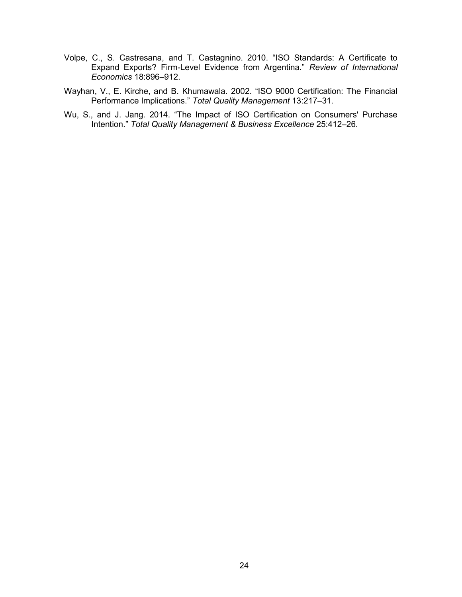- Volpe, C., S. Castresana, and T. Castagnino. 2010. "ISO Standards: A Certificate to Expand Exports? Firm-Level Evidence from Argentina." *Review of International Economics* 18:896–912.
- Wayhan, V., E. Kirche, and B. Khumawala. 2002. "ISO 9000 Certification: The Financial Performance Implications." *Total Quality Management* 13:217–31.
- Wu, S., and J. Jang. 2014. "The Impact of ISO Certification on Consumers' Purchase Intention." *Total Quality Management & Business Excellence* 25:412–26.